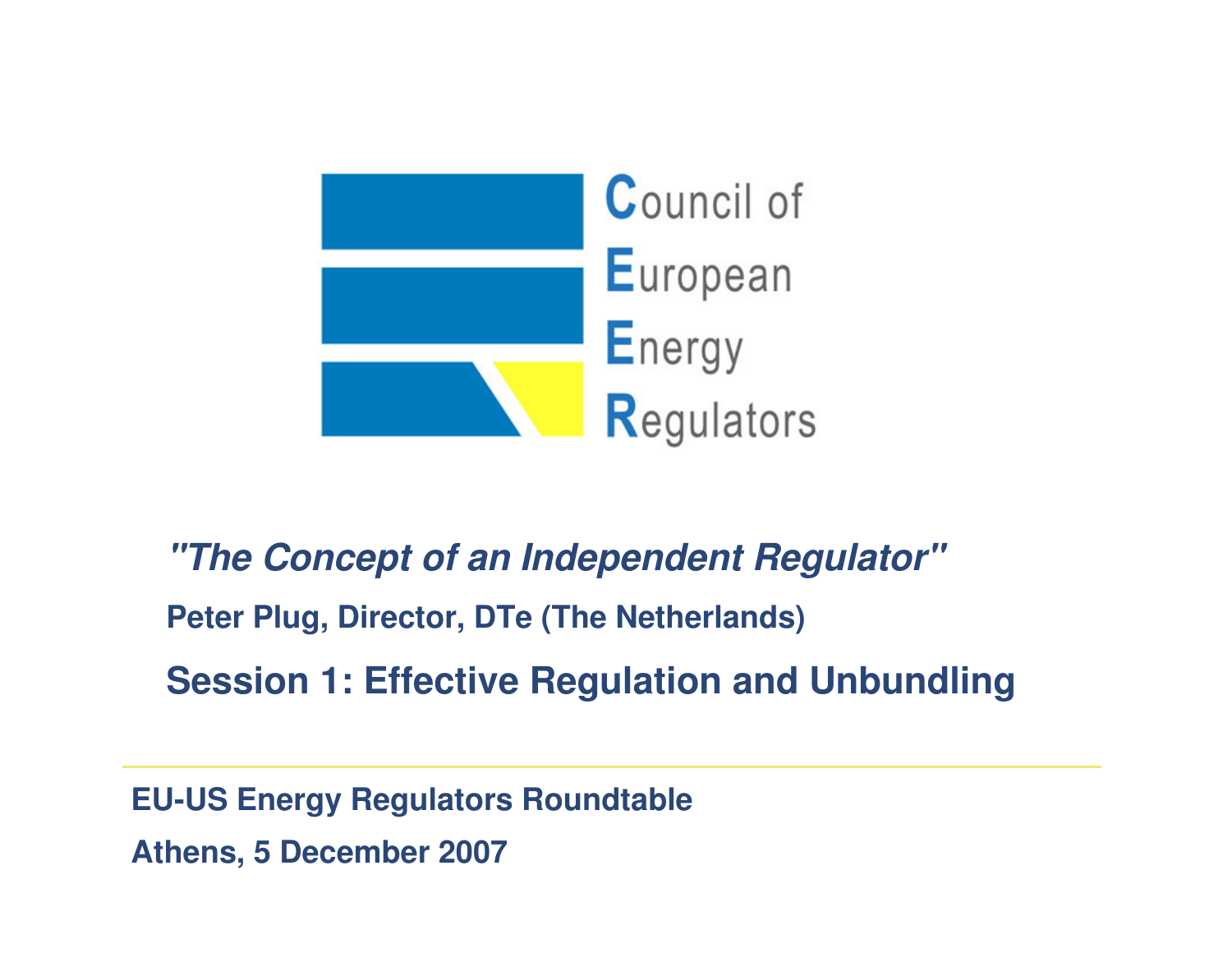

# **"The Concept of an Independent Regulator"Peter Plug, Director, DTe (The Netherlands)**

**Session 1: Effective Regulation and Unbundling** 

**EU-US Energy Regulators RoundtableAthens, 5 December 2007**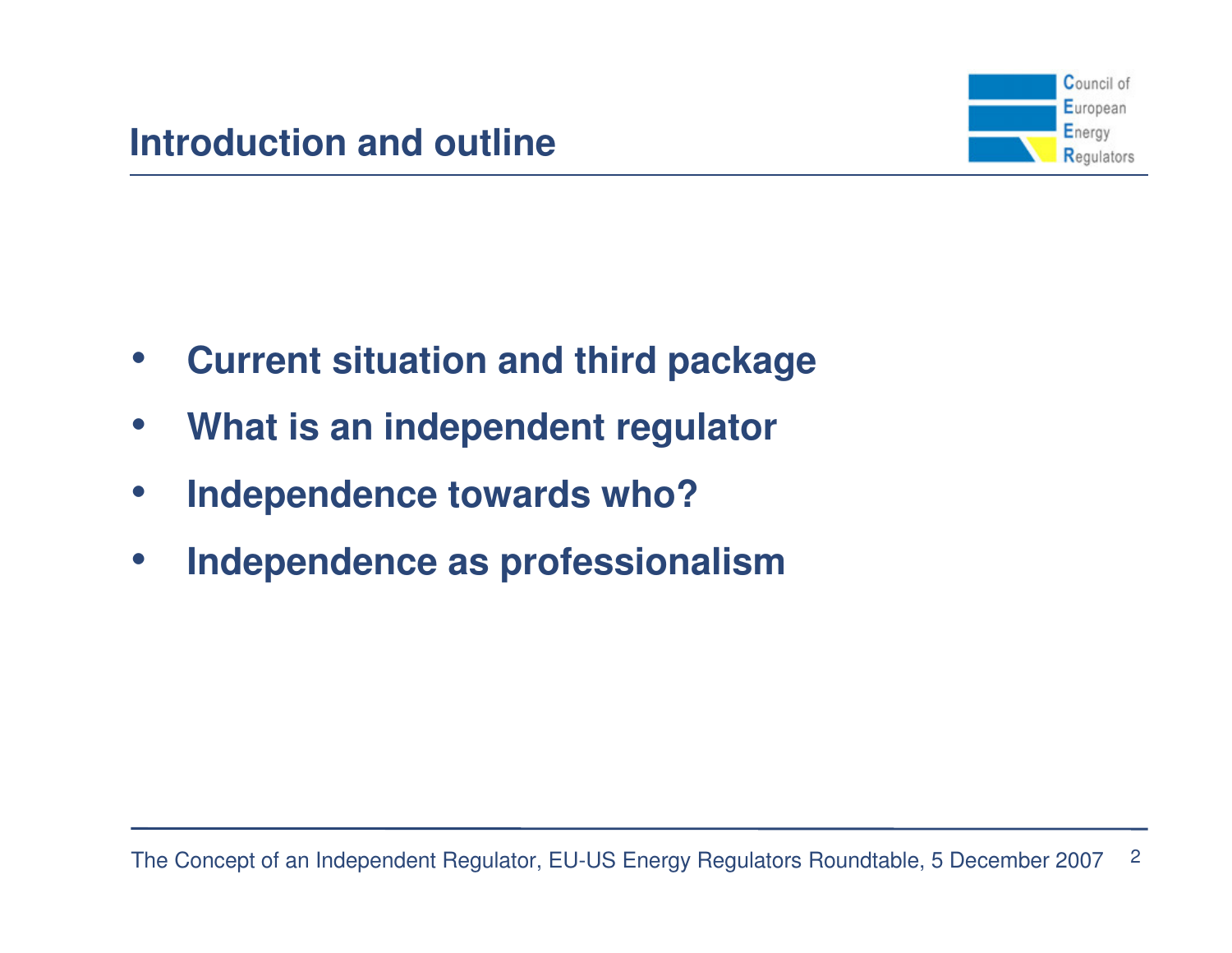

- •**Current situation and third package**
- •**What is an independent regulator**
- $\bullet$ **Independence towards who?**
- $\bullet$ **Independence as professionalism**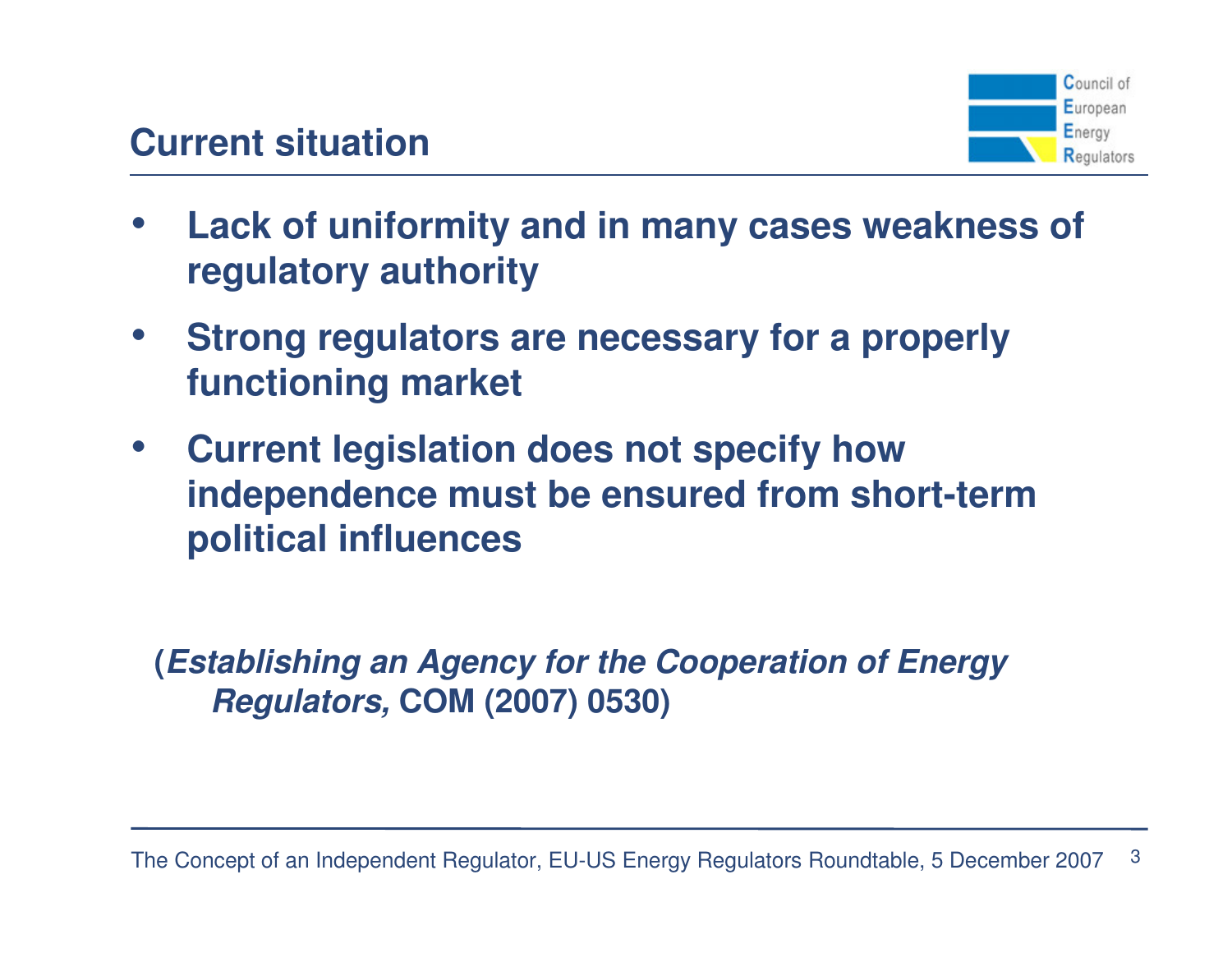

- • **Lack of uniformity and in many cases weakness of regulatory authority**
- • **Strong regulators are necessary for a properly functioning market**
- $\bullet$  **Current legislation does not specify how independence must be ensured from short-term political influences**

**(Establishing an Agency for the Cooperation of Energy Regulators, COM (2007) 0530)**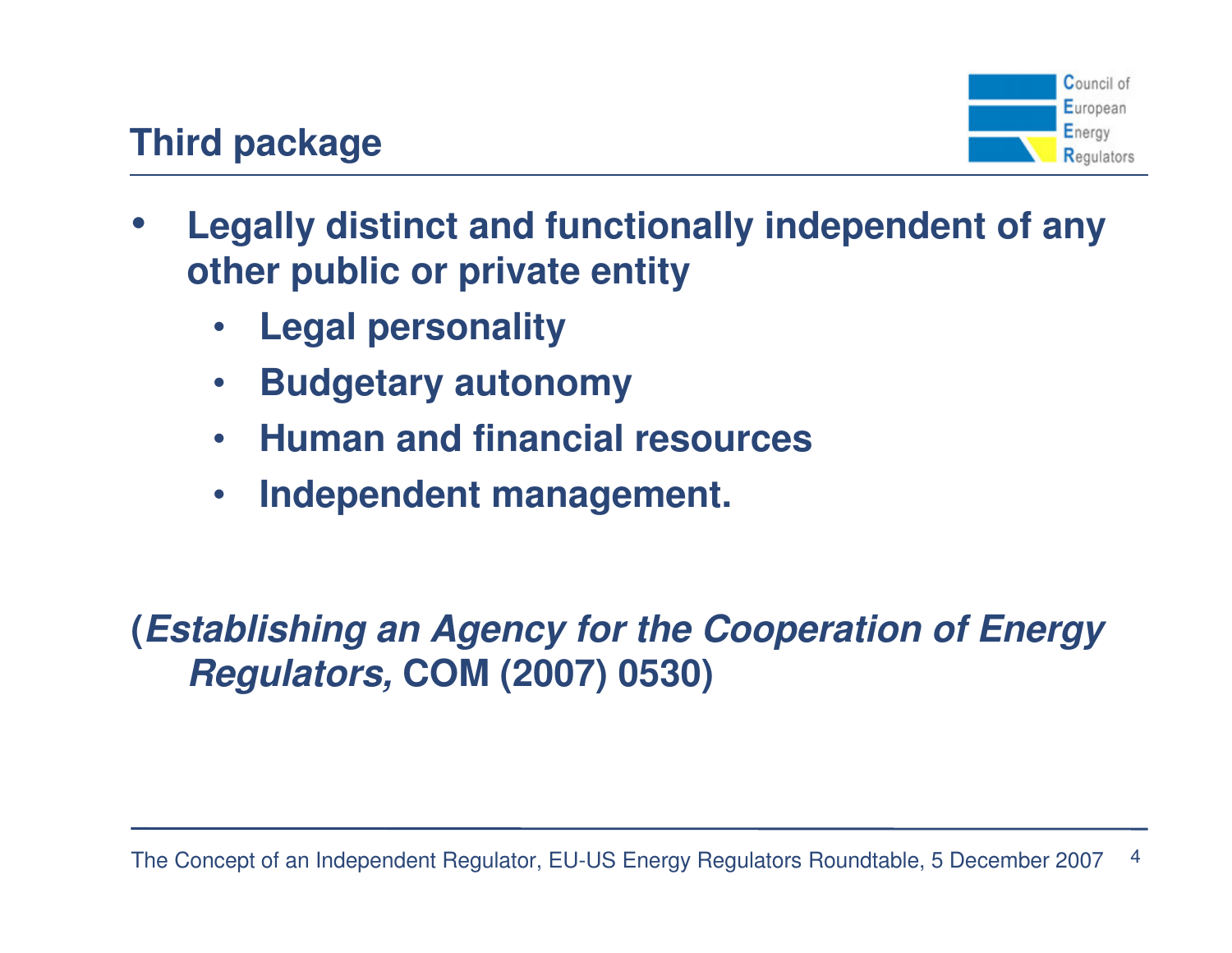

## **Third package**

- • **Legally distinct and functionally independent of any other public or private entity**
	- •**Legal personality**
	- $\bullet$ **Budgetary autonomy**
	- $\bullet$ **Human and financial resources**
	- $\bullet$ **Independent management.**

# **(Establishing an Agency for the Cooperation of Energy Regulators, COM (2007) 0530)**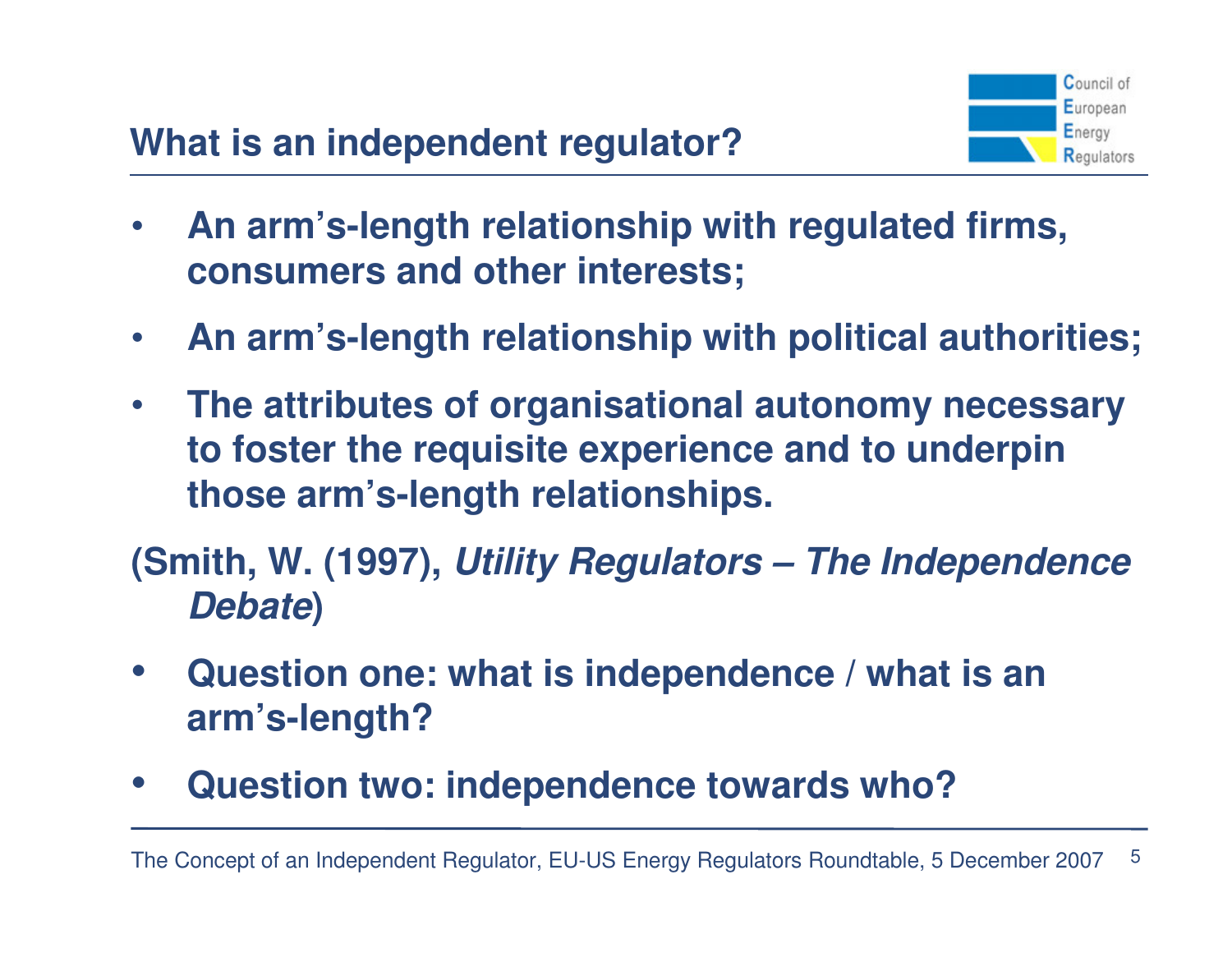

- $\bullet$  **An arm's-length relationship with regulated firms, consumers and other interests;**
- $\bullet$ **An arm's-length relationship with political authorities;**
- $\bullet$  **The attributes of organisational autonomy necessary to foster the requisite experience and to underpin those arm's-length relationships.**

**(Smith, W. (1997), Utility Regulators – The Independence Debate)**

- $\bullet$  **Question one: what is independence / what is an arm's-length?**
- •**Question two: independence towards who?**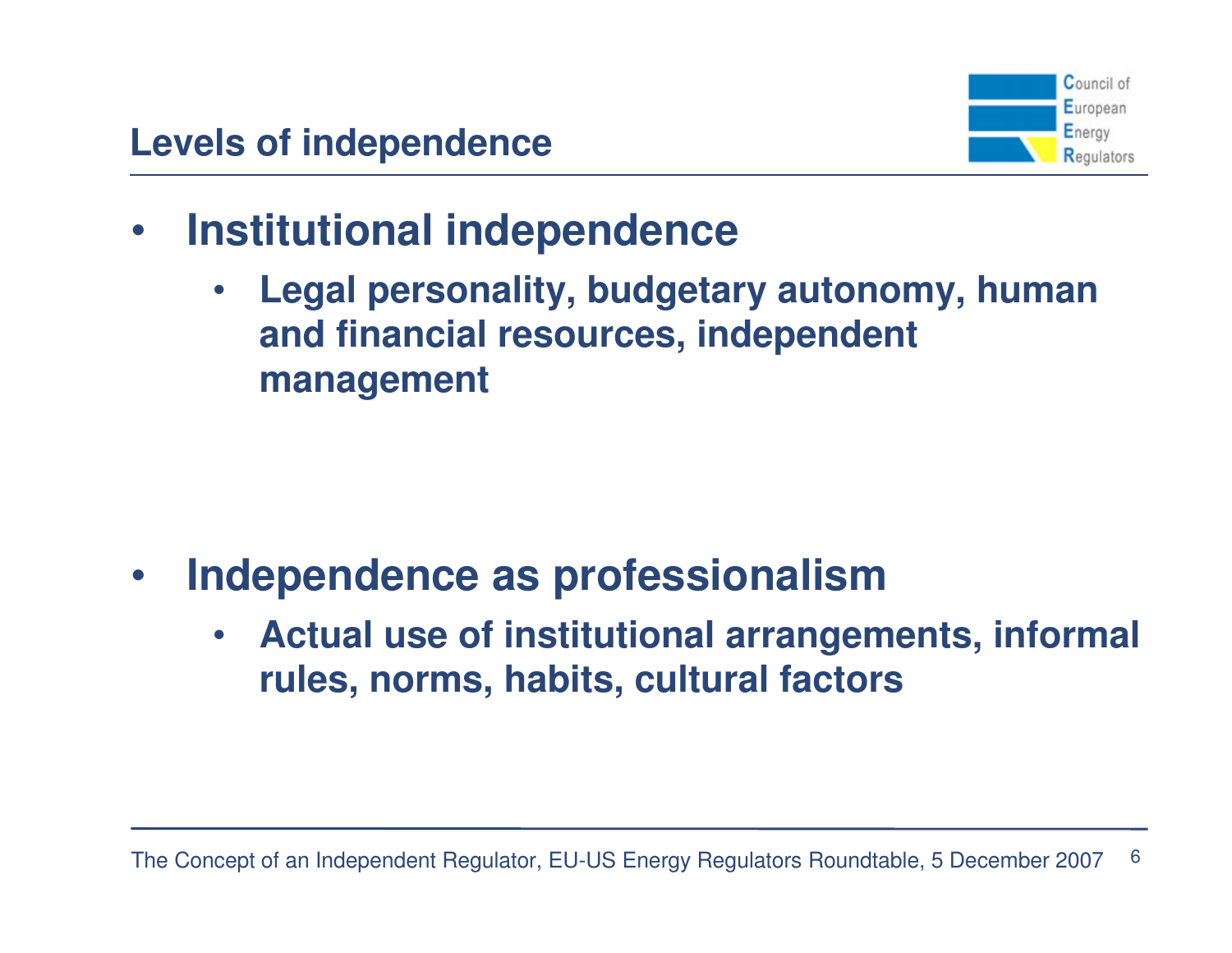

- $\bullet$  **Institutional independence** 
	- • **Legal personality, budgetary autonomy, human and financial resources, independent management**

- • **Independence as professionalism**
	- **Actual use of institutional arrangements, informal**  •**rules, norms, habits, cultural factors**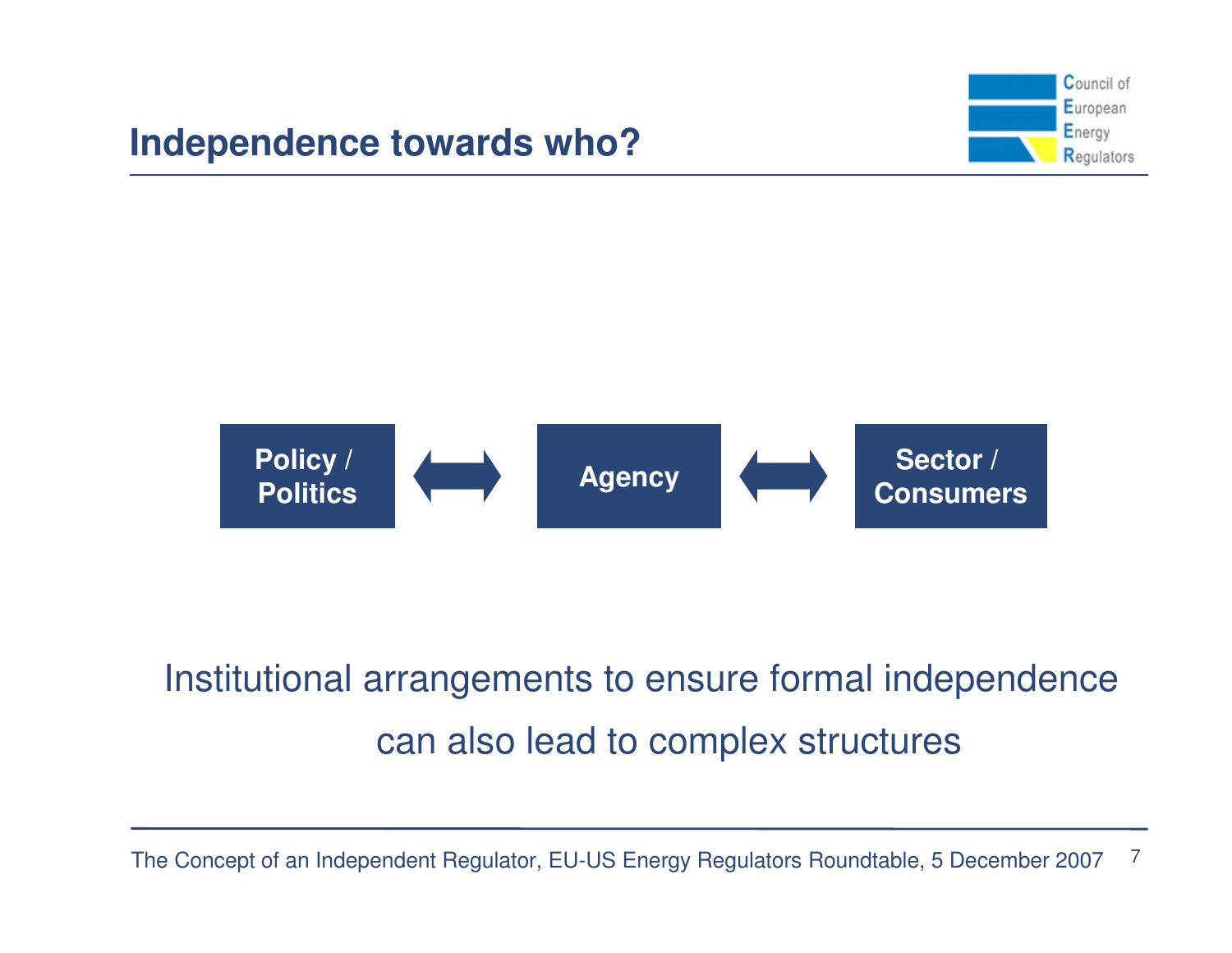





# Institutional arrangements to ensure formal independence can also lead to complex structures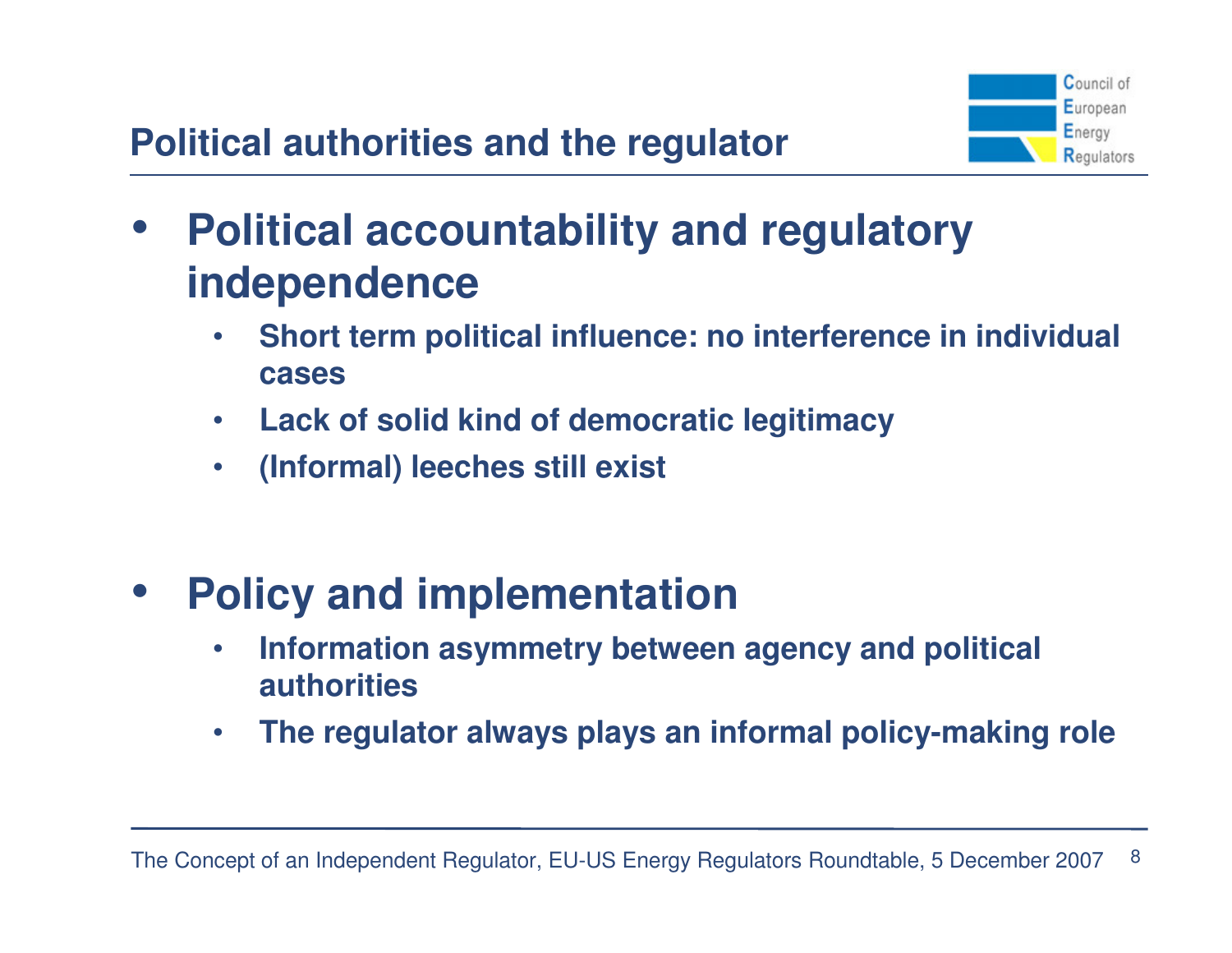

- $\bullet$  **Political accountability and regulatory independence**
	- **Short term political influence: no interference in individual**   $\bullet$ **cases**
	- $\bullet$ **Lack of solid kind of democratic legitimacy**
	- •**(Informal) leeches still exist**
- $\bullet$  **Policy and implementation**
	- **Information asymmetry between agency and political**   $\bullet$ **authorities**
	- •**The regulator always plays an informal policy-making role**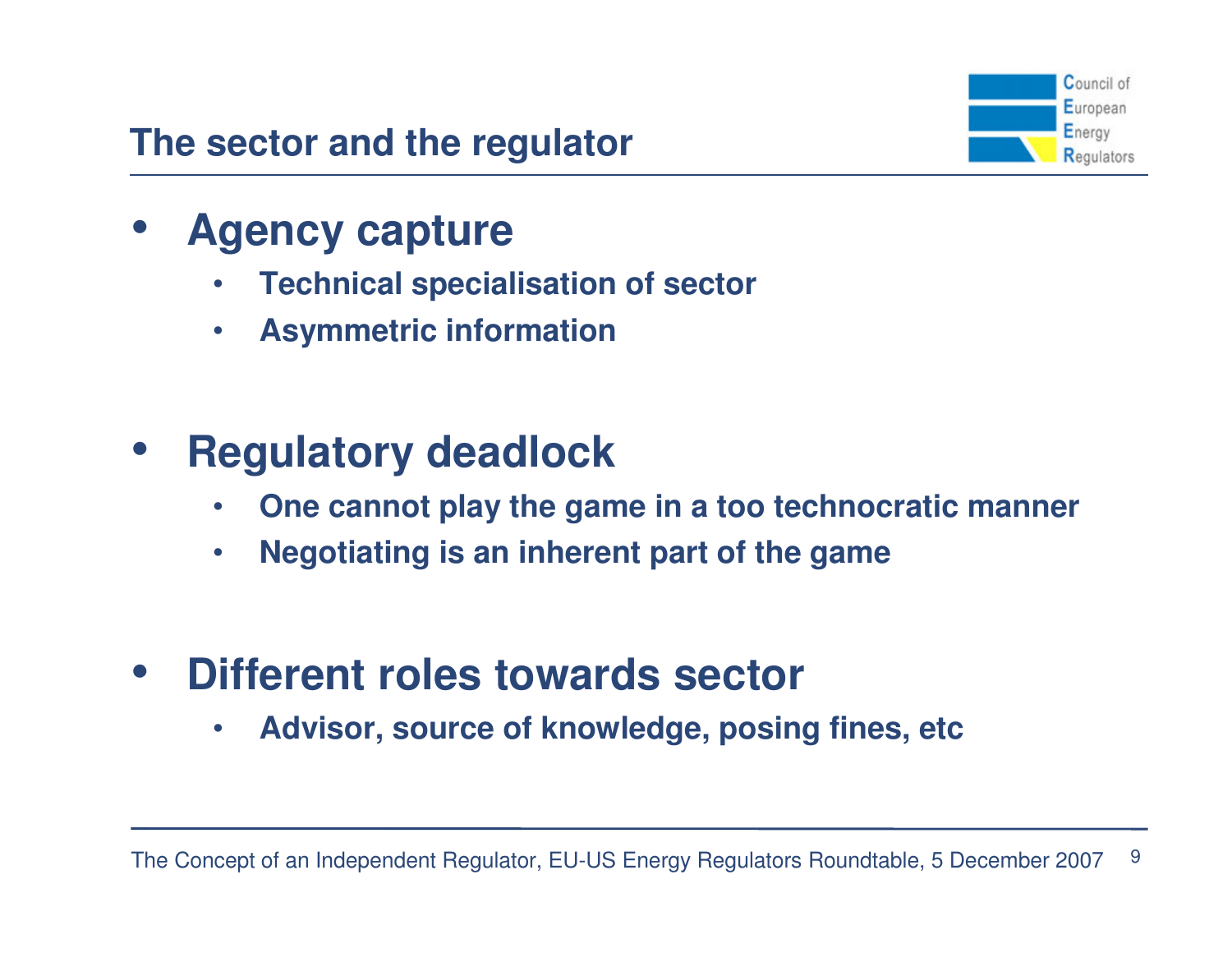## **The sector and the regulator**



- $\bullet$  **Agency capture**
	- **Technical specialisation of sector**•
	- •**Asymmetric information**

#### $\bullet$ **Regulatory deadlock**

- **One cannot play the game in a too technocratic manner**•
- $\bullet$ **Negotiating is an inherent part of the game**
- $\bullet$  **Different roles towards sector**
	- •**Advisor, source of knowledge, posing fines, etc**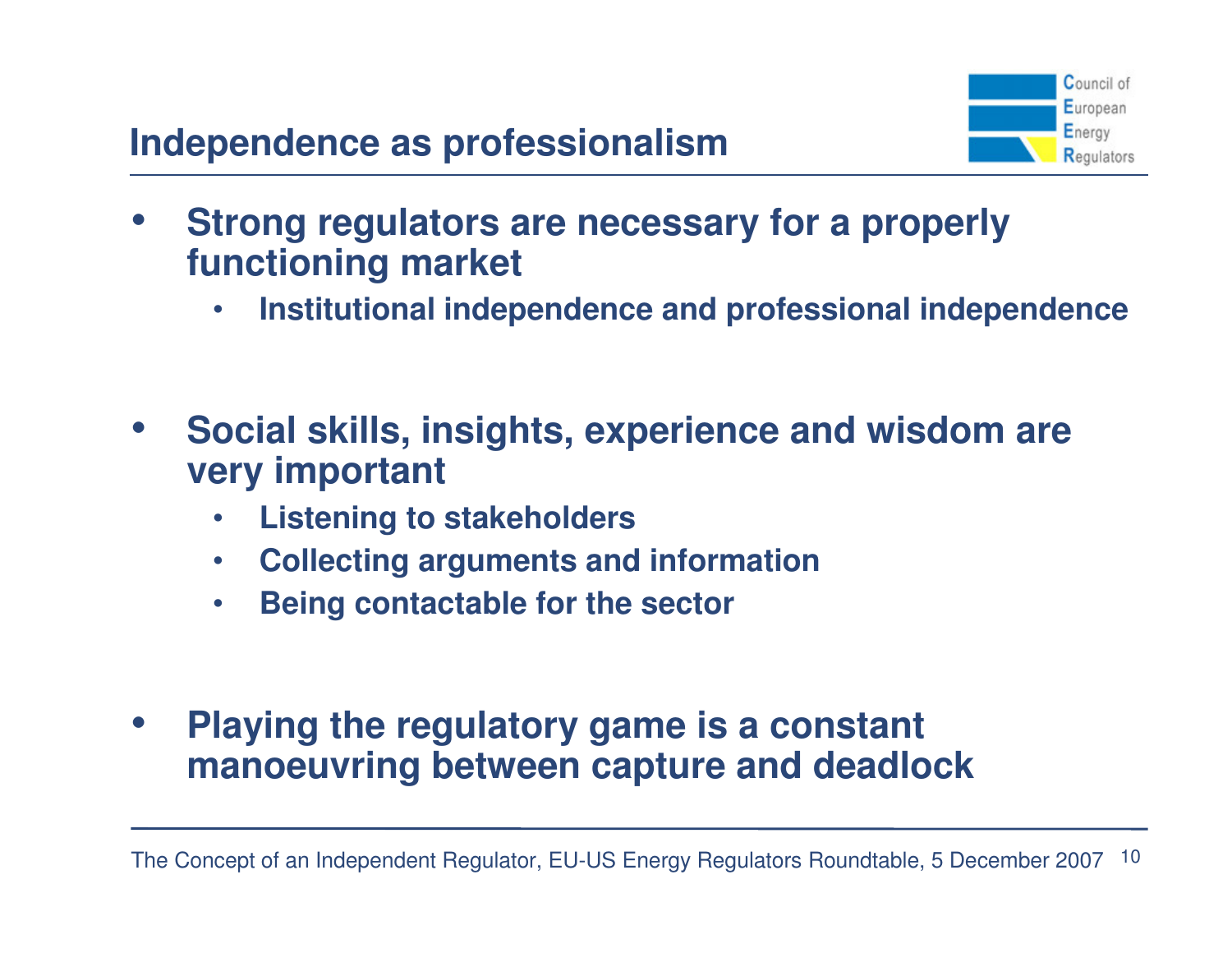

- • **Strong regulators are necessary for a properly functioning market**
	- •**Institutional independence and professional independence**
- $\bullet$  **Social skills, insights, experience and wisdom are very important**
	- •**Listening to stakeholders**
	- $\bullet$ **Collecting arguments and information**
	- •**Being contactable for the sector**
- $\bullet$  **Playing the regulatory game is a constant manoeuvring between capture and deadlock**